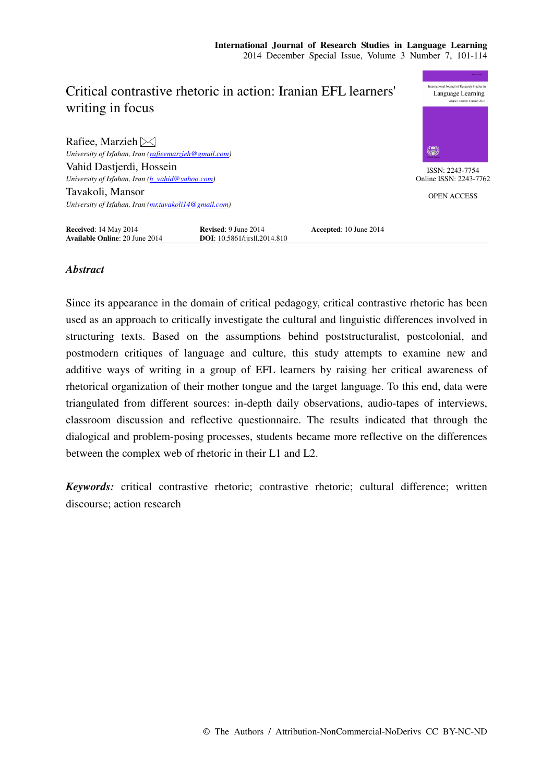# nal Journal of Research Studies Critical contrastive rhetoric in action: Iranian EFL learners' Language Learning writing in focus Rafiee, Marzieh $\boxtimes$ *University of Isfahan, Iran (rafieemarzieh@gmail.com)*  Vahid Dastierdi, Hossein ISSN: 2243-7754 *University of Isfahan, Iran (h\_vahid@yahoo.com)*  Online ISSN: 2243-7762 Tavakoli, Mansor OPEN ACCESS *University of Isfahan, Iran (mr.tavakoli14@gmail.com)*  **Received**: 14 May 2014 **Revised**: 9 June 2014 **Accepted**: 10 June 2014 **Available Online**: 20 June 2014 **DOI**: 10.5861/ijrsll.2014.810

# *Abstract*

**Available Online: 20 June 2014** 

Since its appearance in the domain of critical pedagogy, critical contrastive rhetoric has been used as an approach to critically investigate the cultural and linguistic differences involved in structuring texts. Based on the assumptions behind poststructuralist, postcolonial, and postmodern critiques of language and culture, this study attempts to examine new and additive ways of writing in a group of EFL learners by raising her critical awareness of rhetorical organization of their mother tongue and the target language. To this end, data were triangulated from different sources: in-depth daily observations, audio-tapes of interviews, classroom discussion and reflective questionnaire. The results indicated that through the dialogical and problem-posing processes, students became more reflective on the differences between the complex web of rhetoric in their L1 and L2.

*Keywords:* critical contrastive rhetoric; contrastive rhetoric; cultural difference; written discourse; action research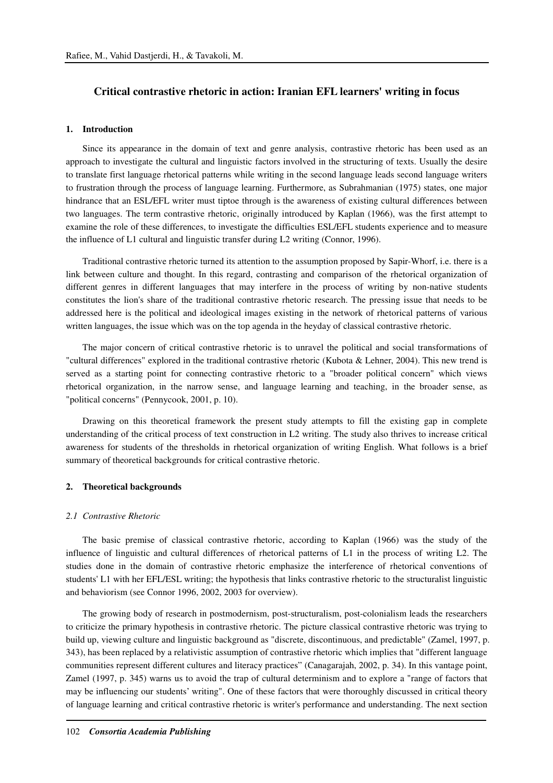# **Critical contrastive rhetoric in action: Iranian EFL learners' writing in focus**

# **1. Introduction**

Since its appearance in the domain of text and genre analysis, contrastive rhetoric has been used as an approach to investigate the cultural and linguistic factors involved in the structuring of texts. Usually the desire to translate first language rhetorical patterns while writing in the second language leads second language writers to frustration through the process of language learning. Furthermore, as Subrahmanian (1975) states, one major hindrance that an ESL/EFL writer must tiptoe through is the awareness of existing cultural differences between two languages. The term contrastive rhetoric, originally introduced by Kaplan (1966), was the first attempt to examine the role of these differences, to investigate the difficulties ESL/EFL students experience and to measure the influence of L1 cultural and linguistic transfer during L2 writing (Connor, 1996).

Traditional contrastive rhetoric turned its attention to the assumption proposed by Sapir-Whorf, i.e. there is a link between culture and thought. In this regard, contrasting and comparison of the rhetorical organization of different genres in different languages that may interfere in the process of writing by non-native students constitutes the lion's share of the traditional contrastive rhetoric research. The pressing issue that needs to be addressed here is the political and ideological images existing in the network of rhetorical patterns of various written languages, the issue which was on the top agenda in the heyday of classical contrastive rhetoric.

The major concern of critical contrastive rhetoric is to unravel the political and social transformations of "cultural differences" explored in the traditional contrastive rhetoric (Kubota & Lehner, 2004). This new trend is served as a starting point for connecting contrastive rhetoric to a "broader political concern" which views rhetorical organization, in the narrow sense, and language learning and teaching, in the broader sense, as "political concerns" (Pennycook, 2001, p. 10).

Drawing on this theoretical framework the present study attempts to fill the existing gap in complete understanding of the critical process of text construction in L2 writing. The study also thrives to increase critical awareness for students of the thresholds in rhetorical organization of writing English. What follows is a brief summary of theoretical backgrounds for critical contrastive rhetoric.

# **2. Theoretical backgrounds**

#### *2.1 Contrastive Rhetoric*

The basic premise of classical contrastive rhetoric, according to Kaplan (1966) was the study of the influence of linguistic and cultural differences of rhetorical patterns of L1 in the process of writing L2. The studies done in the domain of contrastive rhetoric emphasize the interference of rhetorical conventions of students' L1 with her EFL/ESL writing; the hypothesis that links contrastive rhetoric to the structuralist linguistic and behaviorism (see Connor 1996, 2002, 2003 for overview).

The growing body of research in postmodernism, post-structuralism, post-colonialism leads the researchers to criticize the primary hypothesis in contrastive rhetoric. The picture classical contrastive rhetoric was trying to build up, viewing culture and linguistic background as "discrete, discontinuous, and predictable" (Zamel, 1997, p. 343), has been replaced by a relativistic assumption of contrastive rhetoric which implies that "different language communities represent different cultures and literacy practices" (Canagarajah, 2002, p. 34). In this vantage point, Zamel (1997, p. 345) warns us to avoid the trap of cultural determinism and to explore a "range of factors that may be influencing our students' writing". One of these factors that were thoroughly discussed in critical theory of language learning and critical contrastive rhetoric is writer's performance and understanding. The next section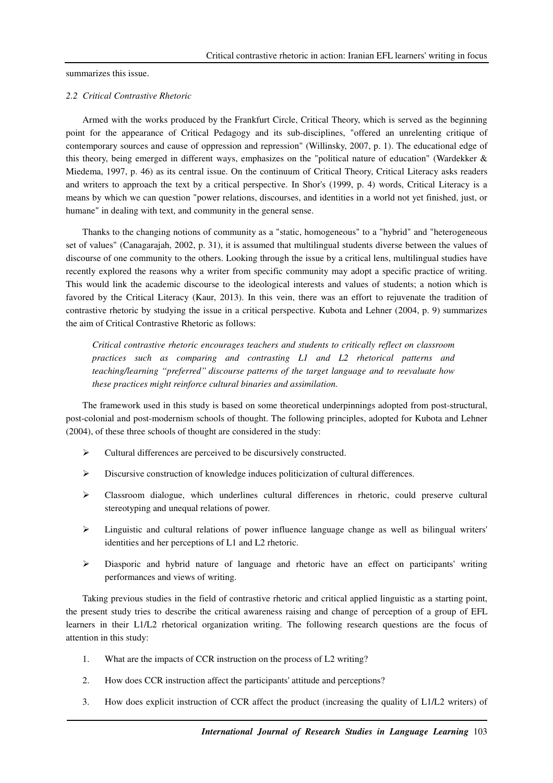summarizes this issue.

### *2.2 Critical Contrastive Rhetoric*

Armed with the works produced by the Frankfurt Circle, Critical Theory, which is served as the beginning point for the appearance of Critical Pedagogy and its sub-disciplines, "offered an unrelenting critique of contemporary sources and cause of oppression and repression" (Willinsky, 2007, p. 1). The educational edge of this theory, being emerged in different ways, emphasizes on the "political nature of education" (Wardekker & Miedema, 1997, p. 46) as its central issue. On the continuum of Critical Theory, Critical Literacy asks readers and writers to approach the text by a critical perspective. In Shor's (1999, p. 4) words, Critical Literacy is a means by which we can question "power relations, discourses, and identities in a world not yet finished, just, or humane" in dealing with text, and community in the general sense.

Thanks to the changing notions of community as a "static, homogeneous" to a "hybrid" and "heterogeneous set of values" (Canagarajah, 2002, p. 31), it is assumed that multilingual students diverse between the values of discourse of one community to the others. Looking through the issue by a critical lens, multilingual studies have recently explored the reasons why a writer from specific community may adopt a specific practice of writing. This would link the academic discourse to the ideological interests and values of students; a notion which is favored by the Critical Literacy (Kaur, 2013). In this vein, there was an effort to rejuvenate the tradition of contrastive rhetoric by studying the issue in a critical perspective. Kubota and Lehner (2004, p. 9) summarizes the aim of Critical Contrastive Rhetoric as follows:

*Critical contrastive rhetoric encourages teachers and students to critically reflect on classroom practices such as comparing and contrasting L1 and L2 rhetorical patterns and teaching/learning ''preferred'' discourse patterns of the target language and to reevaluate how these practices might reinforce cultural binaries and assimilation.* 

The framework used in this study is based on some theoretical underpinnings adopted from post-structural, post-colonial and post-modernism schools of thought. The following principles, adopted for Kubota and Lehner (2004), of these three schools of thought are considered in the study:

- Cultural differences are perceived to be discursively constructed.
- $\triangleright$  Discursive construction of knowledge induces politicization of cultural differences.
- $\triangleright$  Classroom dialogue, which underlines cultural differences in rhetoric, could preserve cultural stereotyping and unequal relations of power.
- $\triangleright$  Linguistic and cultural relations of power influence language change as well as bilingual writers' identities and her perceptions of L1 and L2 rhetoric.
- Diasporic and hybrid nature of language and rhetoric have an effect on participants' writing performances and views of writing.

Taking previous studies in the field of contrastive rhetoric and critical applied linguistic as a starting point, the present study tries to describe the critical awareness raising and change of perception of a group of EFL learners in their L1/L2 rhetorical organization writing. The following research questions are the focus of attention in this study:

- 1. What are the impacts of CCR instruction on the process of L2 writing?
- 2. How does CCR instruction affect the participants' attitude and perceptions?
- 3. How does explicit instruction of CCR affect the product (increasing the quality of L1/L2 writers) of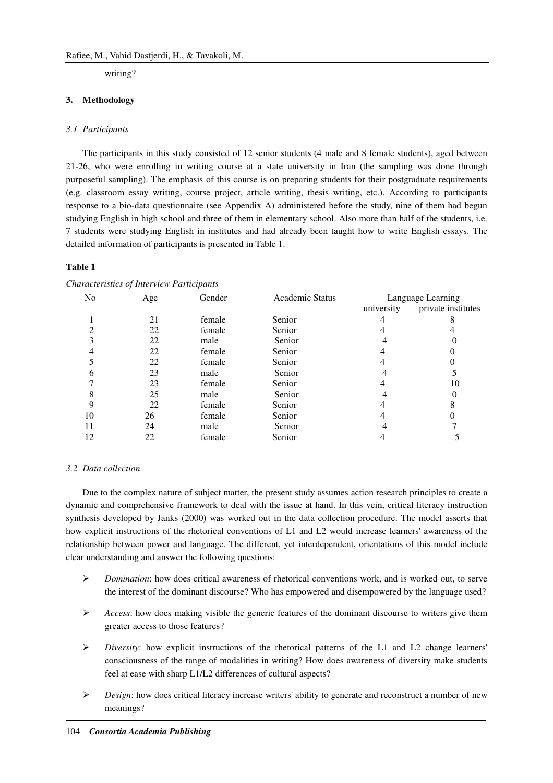writing?

### **3. Methodology**

### *3.1 Participants*

The participants in this study consisted of 12 senior students (4 male and 8 female students), aged between 21-26, who were enrolling in writing course at a state university in Iran (the sampling was done through purposeful sampling). The emphasis of this course is on preparing students for their postgraduate requirements (e.g. classroom essay writing, course project, article writing, thesis writing, etc.). According to participants response to a bio-data questionnaire (see Appendix A) administered before the study, nine of them had begun studying English in high school and three of them in elementary school. Also more than half of the students, i.e. 7 students were studying English in institutes and had already been taught how to write English essays. The detailed information of participants is presented in Table 1.

#### **Table 1**

| No | Age | Gender | <b>Academic Status</b> | Language Learning |                    |
|----|-----|--------|------------------------|-------------------|--------------------|
|    |     |        |                        | university        | private institutes |
|    | 21  | female | Senior                 |                   |                    |
|    | 22  | female | Senior                 |                   |                    |
|    | 22  | male   | Senior                 |                   |                    |
|    | 22  | female | Senior                 |                   |                    |
|    | 22  | female | Senior                 |                   |                    |
| n  | 23  | male   | Senior                 |                   |                    |
|    | 23  | female | Senior                 |                   | 10                 |
|    | 25  | male   | Senior                 |                   |                    |
|    | 22  | female | Senior                 |                   |                    |
| 10 | 26  | female | Senior                 |                   |                    |
|    | 24  | male   | Senior                 |                   |                    |
| 12 | 22  | female | Senior                 |                   |                    |

*Characteristics of Interview Participants* 

#### *3.2 Data collection*

Due to the complex nature of subject matter, the present study assumes action research principles to create a dynamic and comprehensive framework to deal with the issue at hand. In this vein, critical literacy instruction synthesis developed by Janks (2000) was worked out in the data collection procedure. The model asserts that how explicit instructions of the rhetorical conventions of L1 and L2 would increase learners' awareness of the relationship between power and language. The different, yet interdependent, orientations of this model include clear understanding and answer the following questions:

- *Domination*: how does critical awareness of rhetorical conventions work, and is worked out, to serve the interest of the dominant discourse? Who has empowered and disempowered by the language used?
- *Access*: how does making visible the generic features of the dominant discourse to writers give them greater access to those features?
- $\triangleright$  *Diversity*: how explicit instructions of the rhetorical patterns of the L1 and L2 change learners' consciousness of the range of modalities in writing? How does awareness of diversity make students feel at ease with sharp L1/L2 differences of cultural aspects?
- *► Design*: how does critical literacy increase writers' ability to generate and reconstruct a number of new meanings?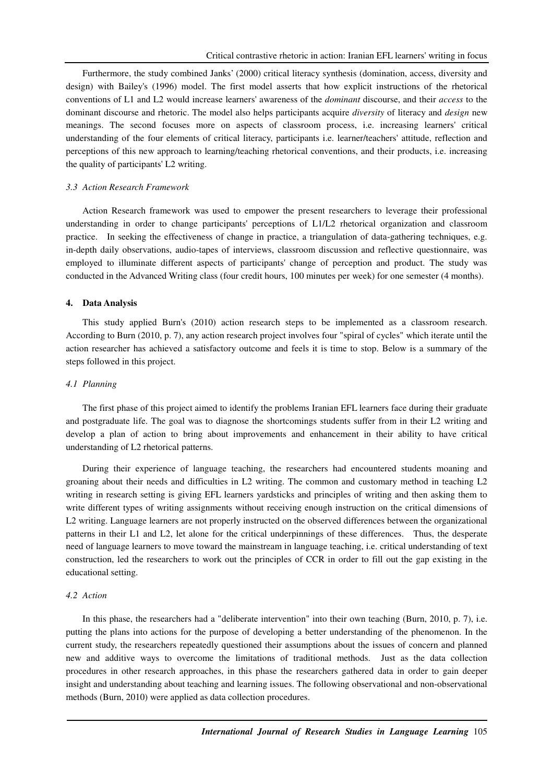Furthermore, the study combined Janks' (2000) critical literacy synthesis (domination, access, diversity and design) with Bailey's (1996) model. The first model asserts that how explicit instructions of the rhetorical conventions of L1 and L2 would increase learners' awareness of the *dominant* discourse, and their *access* to the dominant discourse and rhetoric. The model also helps participants acquire *diversity* of literacy and *design* new meanings. The second focuses more on aspects of classroom process, i.e. increasing learners' critical understanding of the four elements of critical literacy, participants i.e. learner/teachers' attitude, reflection and perceptions of this new approach to learning/teaching rhetorical conventions, and their products, i.e. increasing the quality of participants' L2 writing.

### *3.3 Action Research Framework*

Action Research framework was used to empower the present researchers to leverage their professional understanding in order to change participants' perceptions of L1/L2 rhetorical organization and classroom practice. In seeking the effectiveness of change in practice, a triangulation of data-gathering techniques, e.g. in-depth daily observations, audio-tapes of interviews, classroom discussion and reflective questionnaire, was employed to illuminate different aspects of participants' change of perception and product. The study was conducted in the Advanced Writing class (four credit hours, 100 minutes per week) for one semester (4 months).

### **4. Data Analysis**

This study applied Burn's (2010) action research steps to be implemented as a classroom research. According to Burn (2010, p. 7), any action research project involves four "spiral of cycles" which iterate until the action researcher has achieved a satisfactory outcome and feels it is time to stop. Below is a summary of the steps followed in this project.

# *4.1 Planning*

The first phase of this project aimed to identify the problems Iranian EFL learners face during their graduate and postgraduate life. The goal was to diagnose the shortcomings students suffer from in their L2 writing and develop a plan of action to bring about improvements and enhancement in their ability to have critical understanding of L2 rhetorical patterns.

During their experience of language teaching, the researchers had encountered students moaning and groaning about their needs and difficulties in L2 writing. The common and customary method in teaching L2 writing in research setting is giving EFL learners yardsticks and principles of writing and then asking them to write different types of writing assignments without receiving enough instruction on the critical dimensions of L2 writing. Language learners are not properly instructed on the observed differences between the organizational patterns in their L1 and L2, let alone for the critical underpinnings of these differences. Thus, the desperate need of language learners to move toward the mainstream in language teaching, i.e. critical understanding of text construction, led the researchers to work out the principles of CCR in order to fill out the gap existing in the educational setting.

# *4.2 Action*

In this phase, the researchers had a "deliberate intervention" into their own teaching (Burn, 2010, p. 7), i.e. putting the plans into actions for the purpose of developing a better understanding of the phenomenon. In the current study, the researchers repeatedly questioned their assumptions about the issues of concern and planned new and additive ways to overcome the limitations of traditional methods. Just as the data collection procedures in other research approaches, in this phase the researchers gathered data in order to gain deeper insight and understanding about teaching and learning issues. The following observational and non-observational methods (Burn, 2010) were applied as data collection procedures.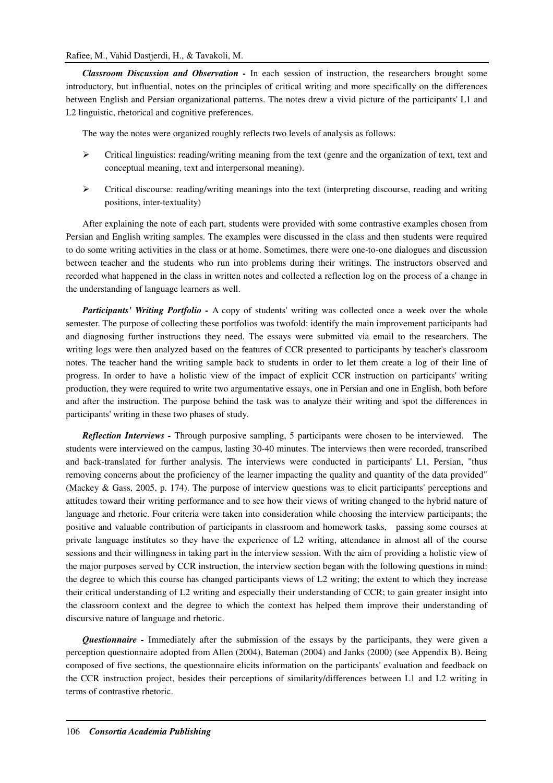# Rafiee, M., Vahid Dastjerdi, H., & Tavakoli, M.

*Classroom Discussion and Observation -* In each session of instruction, the researchers brought some introductory, but influential, notes on the principles of critical writing and more specifically on the differences between English and Persian organizational patterns. The notes drew a vivid picture of the participants' L1 and L2 linguistic, rhetorical and cognitive preferences.

The way the notes were organized roughly reflects two levels of analysis as follows:

- $\triangleright$  Critical linguistics: reading/writing meaning from the text (genre and the organization of text, text and conceptual meaning, text and interpersonal meaning).
- $\triangleright$  Critical discourse: reading/writing meanings into the text (interpreting discourse, reading and writing positions, inter-textuality)

After explaining the note of each part, students were provided with some contrastive examples chosen from Persian and English writing samples. The examples were discussed in the class and then students were required to do some writing activities in the class or at home. Sometimes, there were one-to-one dialogues and discussion between teacher and the students who run into problems during their writings. The instructors observed and recorded what happened in the class in written notes and collected a reflection log on the process of a change in the understanding of language learners as well.

*Participants' Writing Portfolio - A copy of students' writing was collected once a week over the whole* semester. The purpose of collecting these portfolios was twofold: identify the main improvement participants had and diagnosing further instructions they need. The essays were submitted via email to the researchers. The writing logs were then analyzed based on the features of CCR presented to participants by teacher's classroom notes. The teacher hand the writing sample back to students in order to let them create a log of their line of progress. In order to have a holistic view of the impact of explicit CCR instruction on participants' writing production, they were required to write two argumentative essays, one in Persian and one in English, both before and after the instruction. The purpose behind the task was to analyze their writing and spot the differences in participants' writing in these two phases of study.

*Reflection Interviews -* Through purposive sampling, 5 participants were chosen to be interviewed. The students were interviewed on the campus, lasting 30-40 minutes. The interviews then were recorded, transcribed and back-translated for further analysis. The interviews were conducted in participants' L1, Persian, "thus removing concerns about the proficiency of the learner impacting the quality and quantity of the data provided" (Mackey & Gass, 2005, p. 174). The purpose of interview questions was to elicit participants' perceptions and attitudes toward their writing performance and to see how their views of writing changed to the hybrid nature of language and rhetoric. Four criteria were taken into consideration while choosing the interview participants; the positive and valuable contribution of participants in classroom and homework tasks, passing some courses at private language institutes so they have the experience of L2 writing, attendance in almost all of the course sessions and their willingness in taking part in the interview session. With the aim of providing a holistic view of the major purposes served by CCR instruction, the interview section began with the following questions in mind: the degree to which this course has changed participants views of L2 writing; the extent to which they increase their critical understanding of L2 writing and especially their understanding of CCR; to gain greater insight into the classroom context and the degree to which the context has helped them improve their understanding of discursive nature of language and rhetoric.

*Questionnaire -* Immediately after the submission of the essays by the participants, they were given a perception questionnaire adopted from Allen (2004), Bateman (2004) and Janks (2000) (see Appendix B). Being composed of five sections, the questionnaire elicits information on the participants' evaluation and feedback on the CCR instruction project, besides their perceptions of similarity/differences between L1 and L2 writing in terms of contrastive rhetoric.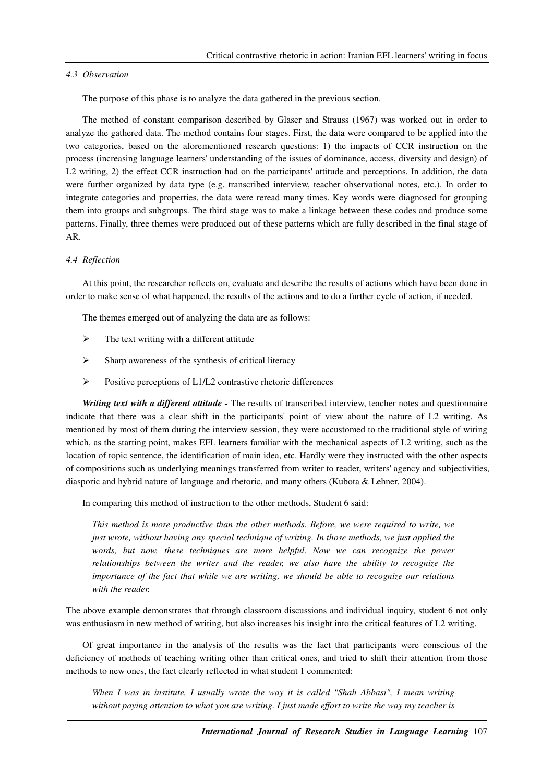#### *4.3 Observation*

The purpose of this phase is to analyze the data gathered in the previous section.

The method of constant comparison described by Glaser and Strauss (1967) was worked out in order to analyze the gathered data. The method contains four stages. First, the data were compared to be applied into the two categories, based on the aforementioned research questions: 1) the impacts of CCR instruction on the process (increasing language learners' understanding of the issues of dominance, access, diversity and design) of L2 writing, 2) the effect CCR instruction had on the participants' attitude and perceptions. In addition, the data were further organized by data type (e.g. transcribed interview, teacher observational notes, etc.). In order to integrate categories and properties, the data were reread many times. Key words were diagnosed for grouping them into groups and subgroups. The third stage was to make a linkage between these codes and produce some patterns. Finally, three themes were produced out of these patterns which are fully described in the final stage of AR.

# *4.4 Reflection*

At this point, the researcher reflects on, evaluate and describe the results of actions which have been done in order to make sense of what happened, the results of the actions and to do a further cycle of action, if needed.

The themes emerged out of analyzing the data are as follows:

- $\triangleright$  The text writing with a different attitude
- $\triangleright$  Sharp awareness of the synthesis of critical literacy
- Positive perceptions of L1/L2 contrastive rhetoric differences

*Writing text with a different attitude -* The results of transcribed interview, teacher notes and questionnaire indicate that there was a clear shift in the participants' point of view about the nature of L2 writing. As mentioned by most of them during the interview session, they were accustomed to the traditional style of wiring which, as the starting point, makes EFL learners familiar with the mechanical aspects of L2 writing, such as the location of topic sentence, the identification of main idea, etc. Hardly were they instructed with the other aspects of compositions such as underlying meanings transferred from writer to reader, writers' agency and subjectivities, diasporic and hybrid nature of language and rhetoric, and many others (Kubota & Lehner, 2004).

In comparing this method of instruction to the other methods, Student 6 said:

*This method is more productive than the other methods. Before, we were required to write, we just wrote, without having any special technique of writing. In those methods, we just applied the*  words, but now, these techniques are more helpful. Now we can recognize the power *relationships between the writer and the reader, we also have the ability to recognize the importance of the fact that while we are writing, we should be able to recognize our relations with the reader.* 

The above example demonstrates that through classroom discussions and individual inquiry, student 6 not only was enthusiasm in new method of writing, but also increases his insight into the critical features of L2 writing.

Of great importance in the analysis of the results was the fact that participants were conscious of the deficiency of methods of teaching writing other than critical ones, and tried to shift their attention from those methods to new ones, the fact clearly reflected in what student 1 commented:

*When I was in institute, I usually wrote the way it is called "Shah Abbasi", I mean writing without paying attention to what you are writing. I just made effort to write the way my teacher is*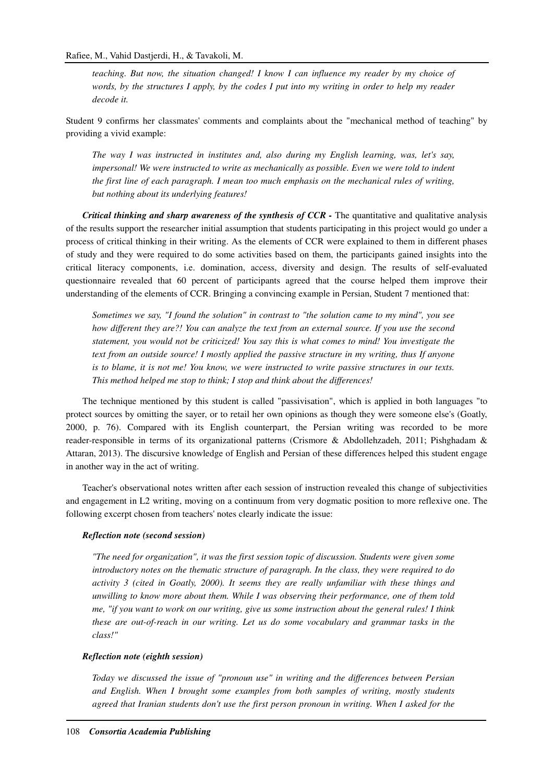*teaching. But now, the situation changed! I know I can influence my reader by my choice of words, by the structures I apply, by the codes I put into my writing in order to help my reader decode it.* 

Student 9 confirms her classmates' comments and complaints about the "mechanical method of teaching" by providing a vivid example:

*The way I was instructed in institutes and, also during my English learning, was, let's say, impersonal! We were instructed to write as mechanically as possible. Even we were told to indent the first line of each paragraph. I mean too much emphasis on the mechanical rules of writing, but nothing about its underlying features!* 

*Critical thinking and sharp awareness of the synthesis of CCR - The quantitative and qualitative analysis* of the results support the researcher initial assumption that students participating in this project would go under a process of critical thinking in their writing. As the elements of CCR were explained to them in different phases of study and they were required to do some activities based on them, the participants gained insights into the critical literacy components, i.e. domination, access, diversity and design. The results of self-evaluated questionnaire revealed that 60 percent of participants agreed that the course helped them improve their understanding of the elements of CCR. Bringing a convincing example in Persian, Student 7 mentioned that:

*Sometimes we say, "I found the solution" in contrast to "the solution came to my mind", you see how different they are?! You can analyze the text from an external source. If you use the second statement, you would not be criticized! You say this is what comes to mind! You investigate the text from an outside source! I mostly applied the passive structure in my writing, thus If anyone is to blame, it is not me! You know, we were instructed to write passive structures in our texts. This method helped me stop to think; I stop and think about the differences!* 

The technique mentioned by this student is called "passivisation", which is applied in both languages "to protect sources by omitting the sayer, or to retail her own opinions as though they were someone else's (Goatly, 2000, p. 76). Compared with its English counterpart, the Persian writing was recorded to be more reader-responsible in terms of its organizational patterns (Crismore & Abdollehzadeh, 2011; Pishghadam & Attaran, 2013). The discursive knowledge of English and Persian of these differences helped this student engage in another way in the act of writing.

Teacher's observational notes written after each session of instruction revealed this change of subjectivities and engagement in L2 writing, moving on a continuum from very dogmatic position to more reflexive one. The following excerpt chosen from teachers' notes clearly indicate the issue:

### *Reflection note (second session)*

*"The need for organization", it was the first session topic of discussion. Students were given some introductory notes on the thematic structure of paragraph. In the class, they were required to do activity 3 (cited in Goatly, 2000). It seems they are really unfamiliar with these things and unwilling to know more about them. While I was observing their performance, one of them told me, "if you want to work on our writing, give us some instruction about the general rules! I think these are out-of-reach in our writing. Let us do some vocabulary and grammar tasks in the class!"* 

# *Reflection note (eighth session)*

*Today we discussed the issue of "pronoun use" in writing and the differences between Persian and English. When I brought some examples from both samples of writing, mostly students agreed that Iranian students don't use the first person pronoun in writing. When I asked for the*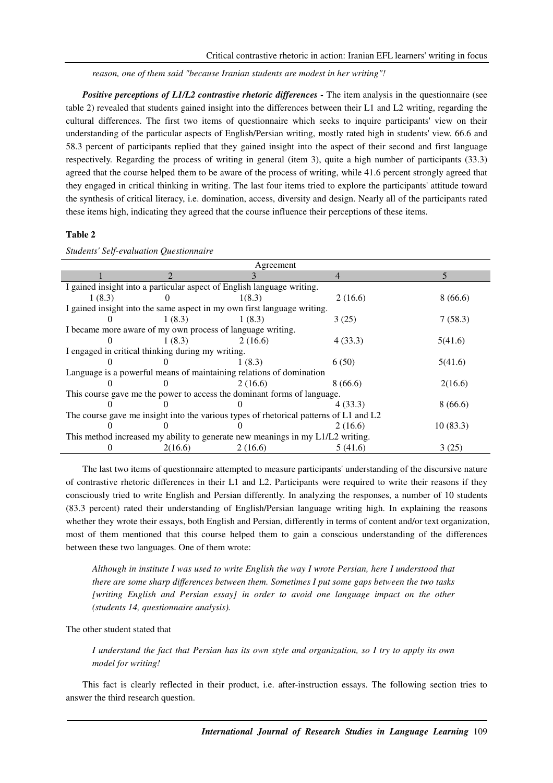*reason, one of them said "because Iranian students are modest in her writing"!* 

*Positive perceptions of L1/L2 contrastive rhetoric differences - The item analysis in the questionnaire (see* table 2) revealed that students gained insight into the differences between their L1 and L2 writing, regarding the cultural differences. The first two items of questionnaire which seeks to inquire participants' view on their understanding of the particular aspects of English/Persian writing, mostly rated high in students' view. 66.6 and 58.3 percent of participants replied that they gained insight into the aspect of their second and first language respectively. Regarding the process of writing in general (item 3), quite a high number of participants (33.3) agreed that the course helped them to be aware of the process of writing, while 41.6 percent strongly agreed that they engaged in critical thinking in writing. The last four items tried to explore the participants' attitude toward the synthesis of critical literacy, i.e. domination, access, diversity and design. Nearly all of the participants rated these items high, indicating they agreed that the course influence their perceptions of these items.

# **Table 2**

| Agreement                                                                             |         |                                                                         |         |          |  |
|---------------------------------------------------------------------------------------|---------|-------------------------------------------------------------------------|---------|----------|--|
|                                                                                       |         |                                                                         |         |          |  |
| I gained insight into a particular aspect of English language writing.                |         |                                                                         |         |          |  |
| 1(8.3)                                                                                |         | 1(8.3)                                                                  | 2(16.6) | 8(66.6)  |  |
|                                                                                       |         | I gained insight into the same aspect in my own first language writing. |         |          |  |
|                                                                                       | 1(8.3)  | 1(8.3)                                                                  | 3(25)   | 7(58.3)  |  |
|                                                                                       |         | I became more aware of my own process of language writing.              |         |          |  |
|                                                                                       | 1(8.3)  | 2(16.6)                                                                 | 4(33.3) | 5(41.6)  |  |
| I engaged in critical thinking during my writing.                                     |         |                                                                         |         |          |  |
|                                                                                       |         | 1(8.3)                                                                  | 6(50)   | 5(41.6)  |  |
| Language is a powerful means of maintaining relations of domination                   |         |                                                                         |         |          |  |
|                                                                                       |         | 2(16.6)                                                                 | 8(66.6) | 2(16.6)  |  |
| This course gave me the power to access the dominant forms of language.               |         |                                                                         |         |          |  |
|                                                                                       |         |                                                                         | 4(33.3) | 8(66.6)  |  |
| The course gave me insight into the various types of rhetorical patterns of L1 and L2 |         |                                                                         |         |          |  |
|                                                                                       |         |                                                                         | 2(16.6) | 10(83.3) |  |
| This method increased my ability to generate new meanings in my L1/L2 writing.        |         |                                                                         |         |          |  |
|                                                                                       | 2(16.6) | 2(16.6)                                                                 | 5(41.6) | 3(25)    |  |

*Students' Self-evaluation Questionnaire*

The last two items of questionnaire attempted to measure participants' understanding of the discursive nature of contrastive rhetoric differences in their L1 and L2. Participants were required to write their reasons if they consciously tried to write English and Persian differently. In analyzing the responses, a number of 10 students (83.3 percent) rated their understanding of English/Persian language writing high. In explaining the reasons whether they wrote their essays, both English and Persian, differently in terms of content and/or text organization, most of them mentioned that this course helped them to gain a conscious understanding of the differences between these two languages. One of them wrote:

*Although in institute I was used to write English the way I wrote Persian, here I understood that there are some sharp differences between them. Sometimes I put some gaps between the two tasks [writing English and Persian essay] in order to avoid one language impact on the other (students 14, questionnaire analysis).* 

The other student stated that

*I understand the fact that Persian has its own style and organization, so I try to apply its own model for writing!* 

This fact is clearly reflected in their product, i.e. after-instruction essays. The following section tries to answer the third research question.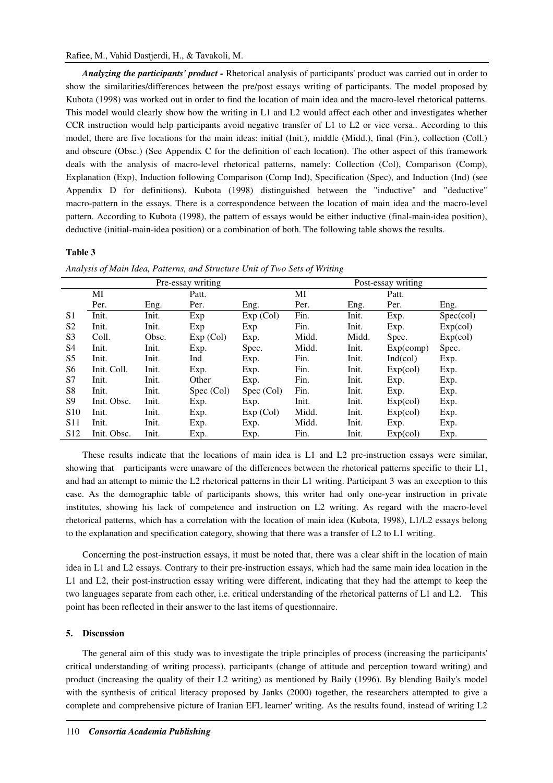*Analyzing the participants' product -* Rhetorical analysis of participants' product was carried out in order to show the similarities/differences between the pre/post essays writing of participants. The model proposed by Kubota (1998) was worked out in order to find the location of main idea and the macro-level rhetorical patterns. This model would clearly show how the writing in L1 and L2 would affect each other and investigates whether CCR instruction would help participants avoid negative transfer of L1 to L2 or vice versa.. According to this model, there are five locations for the main ideas: initial (Init.), middle (Midd.), final (Fin.), collection (Coll.) and obscure (Obsc.) (See Appendix C for the definition of each location). The other aspect of this framework deals with the analysis of macro-level rhetorical patterns, namely: Collection (Col), Comparison (Comp), Explanation (Exp), Induction following Comparison (Comp Ind), Specification (Spec), and Induction (Ind) (see Appendix D for definitions). Kubota (1998) distinguished between the "inductive" and "deductive" macro-pattern in the essays. There is a correspondence between the location of main idea and the macro-level pattern. According to Kubota (1998), the pattern of essays would be either inductive (final-main-idea position), deductive (initial-main-idea position) or a combination of both. The following table shows the results.

# **Table 3**

|                   |             |       |                    |            | ັ     |       |           |           |
|-------------------|-------------|-------|--------------------|------------|-------|-------|-----------|-----------|
| Pre-essay writing |             |       | Post-essay writing |            |       |       |           |           |
|                   | MI          |       | Patt.              |            | MI    |       | Patt.     |           |
|                   | Per.        | Eng.  | Per.               | Eng.       | Per.  | Eng.  | Per.      | Eng.      |
| S1                | Init.       | Init. | Exp                | Exp (Col)  | Fin.  | Init. | Exp.      | Spec(col) |
| S <sub>2</sub>    | Init.       | Init. | Exp                | Exp        | Fin.  | Init. | Exp.      | Exp(col)  |
| S <sub>3</sub>    | Coll.       | Obsc. | Exp (Col)          | Exp.       | Midd. | Midd. | Spec.     | Exp(col)  |
| S <sub>4</sub>    | Init.       | Init. | Exp.               | Spec.      | Midd. | Init. | Exp(comp) | Spec.     |
| S <sub>5</sub>    | Init.       | Init. | Ind                | Exp.       | Fin.  | Init. | Ind(col)  | Exp.      |
| S <sub>6</sub>    | Init. Coll. | Init. | Exp.               | Exp.       | Fin.  | Init. | Exp(col)  | Exp.      |
| S7                | Init.       | Init. | Other              | Exp.       | Fin.  | Init. | Exp.      | Exp.      |
| S <sub>8</sub>    | Init.       | Init. | Spec (Col)         | Spec (Col) | Fin.  | Init. | Exp.      | Exp.      |
| S9                | Init. Obsc. | Init. | Exp.               | Exp.       | Init. | Init. | Exp(col)  | Exp.      |
| S <sub>10</sub>   | Init.       | Init. | Exp.               | Exp (Col)  | Midd. | Init. | Exp(col)  | Exp.      |
| S <sub>11</sub>   | Init.       | Init. | Exp.               | Exp.       | Midd. | Init. | Exp.      | Exp.      |
| S <sub>12</sub>   | Init. Obsc. | Init. | Exp.               | Exp.       | Fin.  | Init. | Exp(col)  | Exp.      |

*Analysis of Main Idea, Patterns, and Structure Unit of Two Sets of Writing*

These results indicate that the locations of main idea is L1 and L2 pre-instruction essays were similar, showing that participants were unaware of the differences between the rhetorical patterns specific to their L1, and had an attempt to mimic the L2 rhetorical patterns in their L1 writing. Participant 3 was an exception to this case. As the demographic table of participants shows, this writer had only one-year instruction in private institutes, showing his lack of competence and instruction on L2 writing. As regard with the macro-level rhetorical patterns, which has a correlation with the location of main idea (Kubota, 1998), L1/L2 essays belong to the explanation and specification category, showing that there was a transfer of L2 to L1 writing.

Concerning the post-instruction essays, it must be noted that, there was a clear shift in the location of main idea in L1 and L2 essays. Contrary to their pre-instruction essays, which had the same main idea location in the L1 and L2, their post-instruction essay writing were different, indicating that they had the attempt to keep the two languages separate from each other, i.e. critical understanding of the rhetorical patterns of L1 and L2. This point has been reflected in their answer to the last items of questionnaire.

# **5. Discussion**

The general aim of this study was to investigate the triple principles of process (increasing the participants' critical understanding of writing process), participants (change of attitude and perception toward writing) and product (increasing the quality of their L2 writing) as mentioned by Baily (1996). By blending Baily's model with the synthesis of critical literacy proposed by Janks (2000) together, the researchers attempted to give a complete and comprehensive picture of Iranian EFL learner' writing. As the results found, instead of writing L2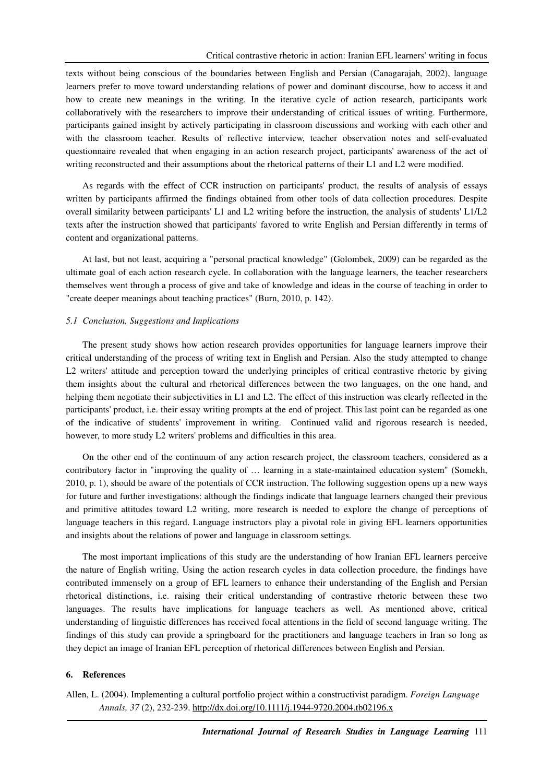texts without being conscious of the boundaries between English and Persian (Canagarajah, 2002), language learners prefer to move toward understanding relations of power and dominant discourse, how to access it and how to create new meanings in the writing. In the iterative cycle of action research, participants work collaboratively with the researchers to improve their understanding of critical issues of writing. Furthermore, participants gained insight by actively participating in classroom discussions and working with each other and with the classroom teacher. Results of reflective interview, teacher observation notes and self-evaluated questionnaire revealed that when engaging in an action research project, participants' awareness of the act of writing reconstructed and their assumptions about the rhetorical patterns of their L1 and L2 were modified.

As regards with the effect of CCR instruction on participants' product, the results of analysis of essays written by participants affirmed the findings obtained from other tools of data collection procedures. Despite overall similarity between participants' L1 and L2 writing before the instruction, the analysis of students' L1/L2 texts after the instruction showed that participants' favored to write English and Persian differently in terms of content and organizational patterns.

At last, but not least, acquiring a "personal practical knowledge" (Golombek, 2009) can be regarded as the ultimate goal of each action research cycle. In collaboration with the language learners, the teacher researchers themselves went through a process of give and take of knowledge and ideas in the course of teaching in order to "create deeper meanings about teaching practices" (Burn, 2010, p. 142).

### *5.1 Conclusion, Suggestions and Implications*

The present study shows how action research provides opportunities for language learners improve their critical understanding of the process of writing text in English and Persian. Also the study attempted to change L2 writers' attitude and perception toward the underlying principles of critical contrastive rhetoric by giving them insights about the cultural and rhetorical differences between the two languages, on the one hand, and helping them negotiate their subjectivities in L1 and L2. The effect of this instruction was clearly reflected in the participants' product, i.e. their essay writing prompts at the end of project. This last point can be regarded as one of the indicative of students' improvement in writing. Continued valid and rigorous research is needed, however, to more study L2 writers' problems and difficulties in this area.

On the other end of the continuum of any action research project, the classroom teachers, considered as a contributory factor in "improving the quality of … learning in a state-maintained education system" (Somekh, 2010, p. 1), should be aware of the potentials of CCR instruction. The following suggestion opens up a new ways for future and further investigations: although the findings indicate that language learners changed their previous and primitive attitudes toward L2 writing, more research is needed to explore the change of perceptions of language teachers in this regard. Language instructors play a pivotal role in giving EFL learners opportunities and insights about the relations of power and language in classroom settings.

The most important implications of this study are the understanding of how Iranian EFL learners perceive the nature of English writing. Using the action research cycles in data collection procedure, the findings have contributed immensely on a group of EFL learners to enhance their understanding of the English and Persian rhetorical distinctions, i.e. raising their critical understanding of contrastive rhetoric between these two languages. The results have implications for language teachers as well. As mentioned above, critical understanding of linguistic differences has received focal attentions in the field of second language writing. The findings of this study can provide a springboard for the practitioners and language teachers in Iran so long as they depict an image of Iranian EFL perception of rhetorical differences between English and Persian.

# **6. References**

Allen, L. (2004). Implementing a cultural portfolio project within a constructivist paradigm. *Foreign Language Annals, 37* (2), 232-239. http://dx.doi.org/10.1111/j.1944-9720.2004.tb02196.x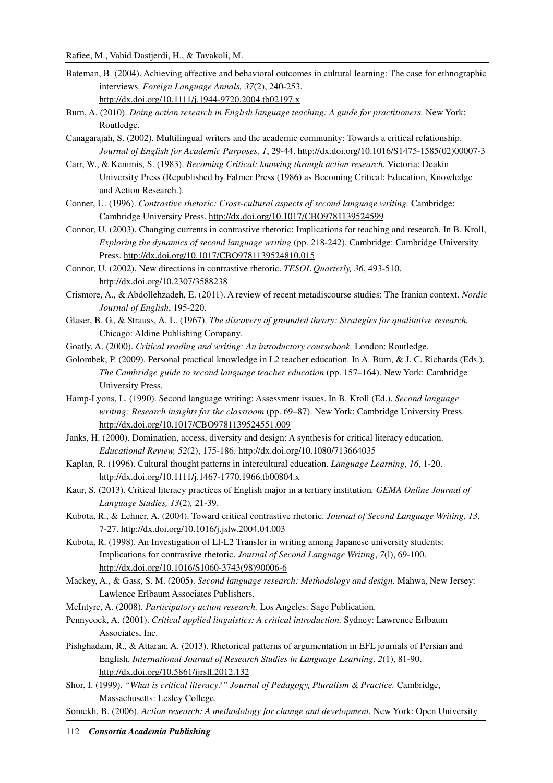- Bateman, B. (2004). Achieving affective and behavioral outcomes in cultural learning: The case for ethnographic interviews. *Foreign Language Annals, 37*(2), 240-253. http://dx.doi.org/10.1111/j.1944-9720.2004.tb02197.x
- Burn, A. (2010). *Doing action research in English language teaching: A guide for practitioners.* New York: Routledge.
- Canagarajah, S. (2002). Multilingual writers and the academic community: Towards a critical relationship. *Journal of English for Academic Purposes, 1*, 29-44. http://dx.doi.org/10.1016/S1475-1585(02)00007-3
- Carr, W., & Kemmis, S. (1983). *Becoming Critical: knowing through action research.* Victoria: Deakin University Press (Republished by Falmer Press (1986) as Becoming Critical: Education, Knowledge and Action Research.).
- Conner, U. (1996). *Contrastive rhetoric: Cross-cultural aspects of second language writing.* Cambridge: Cambridge University Press. http://dx.doi.org/10.1017/CBO9781139524599
- Connor, U. (2003). Changing currents in contrastive rhetoric: Implications for teaching and research. In B. Kroll, *Exploring the dynamics of second language writing* (pp. 218-242). Cambridge: Cambridge University Press. http://dx.doi.org/10.1017/CBO9781139524810.015
- Connor, U. (2002). New directions in contrastive rhetoric. *TESOL Quarterly, 36*, 493-510. http://dx.doi.org/10.2307/3588238
- Crismore, A., & Abdollehzadeh, E. (2011). A review of recent metadiscourse studies: The Iranian context. *Nordic Journal of English*, 195-220.
- Glaser, B. G., & Strauss, A. L. (1967). *The discovery of grounded theory: Strategies for qualitative research.* Chicago: Aldine Publishing Company.
- Goatly, A. (2000). *Critical reading and writing: An introductory coursebook.* London: Routledge.
- Golombek, P. (2009). Personal practical knowledge in L2 teacher education. In A. Burn, & J. C. Richards (Eds.), *The Cambridge guide to second language teacher education* (pp. 157–164). New York: Cambridge University Press.
- Hamp-Lyons, L. (1990). Second language writing: Assessment issues. In B. Kroll (Ed.), *Second language writing: Research insights for the classroom* (pp. 69–87). New York: Cambridge University Press. http://dx.doi.org/10.1017/CBO9781139524551.009
- Janks, H. (2000). Domination, access, diversity and design: A synthesis for critical literacy education. *Educational Review, 52*(2), 175-186. http://dx.doi.org/10.1080/713664035
- Kaplan, R. (1996). Cultural thought patterns in intercultural education. *Language Learning*, *16*, 1-20. http://dx.doi.org/10.1111/j.1467-1770.1966.tb00804.x
- Kaur, S. (2013). Critical literacy practices of English major in a tertiary institution*. GEMA Online Journal of Language Studies, 13*(2)*,* 21-39.
- Kubota, R., & Lehner, A. (2004). Toward critical contrastive rhetoric. *Journal of Second Language Writing, 13*, 7-27. http://dx.doi.org/10.1016/j.jslw.2004.04.003
- Kubota, R. (1998). An Investigation of Ll-L2 Transfer in writing among Japanese university students: Implications for contrastive rhetoric. *Journal of Second Language Writing*, *7*(l), 69-100. http://dx.doi.org/10.1016/S1060-3743(98)90006-6
- Mackey, A., & Gass, S. M. (2005). *Second language research: Methodology and design.* Mahwa, New Jersey: Lawlence Erlbaum Associates Publishers.
- McIntyre, A. (2008). *Participatory action research.* Los Angeles: Sage Publication.
- Pennycock, A. (2001). *Critical applied linguistics: A critical introduction.* Sydney: Lawrence Erlbaum Associates, Inc.
- Pishghadam, R., & Attaran, A. (2013). Rhetorical patterns of argumentation in EFL journals of Persian and English. *International Journal of Research Studies in Language Learning, 2*(1), 81-90. http://dx.doi.org/10.5861/ijrsll.2012.132
- Shor, I. (1999). *"What is critical literacy?" Journal of Pedagogy, Pluralism & Practice.* Cambridge, Massachusetts: Lesley College.
- Somekh, B. (2006). *Action research: A methodology for change and development.* New York: Open University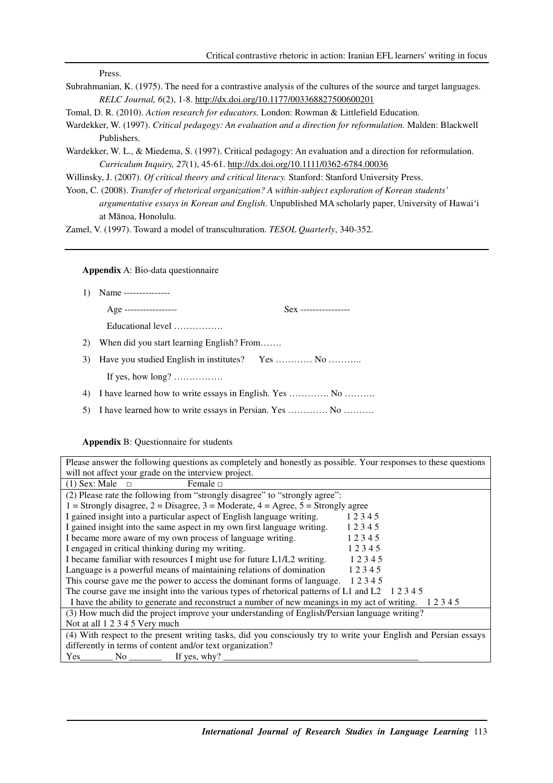Press.

Subrahmanian, K. (1975). The need for a contrastive analysis of the cultures of the source and target languages. *RELC Journal, 6*(2), 1-8. http://dx.doi.org/10.1177/003368827500600201

Tomal, D. R. (2010). *Action research for educators.* London: Rowman & Littlefield Education.

- Wardekker, W. (1997). *Critical pedagogy: An evaluation and a direction for reformulation.* Malden: Blackwell Publishers.
- Wardekker, W. L., & Miedema, S. (1997). Critical pedagogy: An evaluation and a direction for reformulation. *Curriculum Inquiry, 27*(1), 45-61. http://dx.doi.org/10.1111/0362-6784.00036

Willinsky, J. (2007). *Of critical theory and critical literacy.* Stanford: Stanford University Press.

Yoon, C. (2008). *Transfer of rhetorical organization? A within-subject exploration of Korean students' argumentative essays in Korean and English*. Unpublished MA scholarly paper, University of Hawai'i at Mānoa, Honolulu.

Zamel, V. (1997). Toward a model of transculturation. *TESOL Quarterly*, 340-352.

# **Appendix** A: Bio-data questionnaire

1) Name ---------------

Age ----------------- Sex ----------------

Educational level …………….

- 2) When did you start learning English? From…….
- 3) Have you studied English in institutes? Yes ………… No ………..

If yes, how long? …………….

- 4) I have learned how to write essays in English. Yes …………. No ……….
- 5) I have learned how to write essays in Persian. Yes …………. No ……….

# **Appendix** B: Questionnaire for students

Please answer the following questions as completely and honestly as possible. Your responses to these questions will not affect your grade on the interview project.

| $(1)$ Sex: Male $\Box$<br>Female $\Box$                                                                         |       |  |  |  |
|-----------------------------------------------------------------------------------------------------------------|-------|--|--|--|
| (2) Please rate the following from "strongly disagree" to "strongly agree":                                     |       |  |  |  |
| 1 = Strongly disagree, 2 = Disagree, 3 = Moderate, 4 = Agree, 5 = Strongly agree                                |       |  |  |  |
| I gained insight into a particular aspect of English language writing.                                          | 12345 |  |  |  |
| I gained insight into the same aspect in my own first language writing.                                         | 12345 |  |  |  |
| I became more aware of my own process of language writing.                                                      | 12345 |  |  |  |
| I engaged in critical thinking during my writing.                                                               | 12345 |  |  |  |
| I became familiar with resources I might use for future L1/L2 writing.                                          | 12345 |  |  |  |
| Language is a powerful means of maintaining relations of domination                                             | 12345 |  |  |  |
| This course gave me the power to access the dominant forms of language. 12345                                   |       |  |  |  |
| The course gave me insight into the various types of rhetorical patterns of L1 and L2 $\pm$ 1 2 3 4 5           |       |  |  |  |
| I have the ability to generate and reconstruct a number of new meanings in my act of writing.<br>12345          |       |  |  |  |
| (3) How much did the project improve your understanding of English/Persian language writing?                    |       |  |  |  |
| Not at all 1 2 3 4 5 Very much                                                                                  |       |  |  |  |
| (4) With respect to the present writing tasks, did you consciously try to write your English and Persian essays |       |  |  |  |
| differently in terms of content and/or text organization?                                                       |       |  |  |  |
|                                                                                                                 |       |  |  |  |